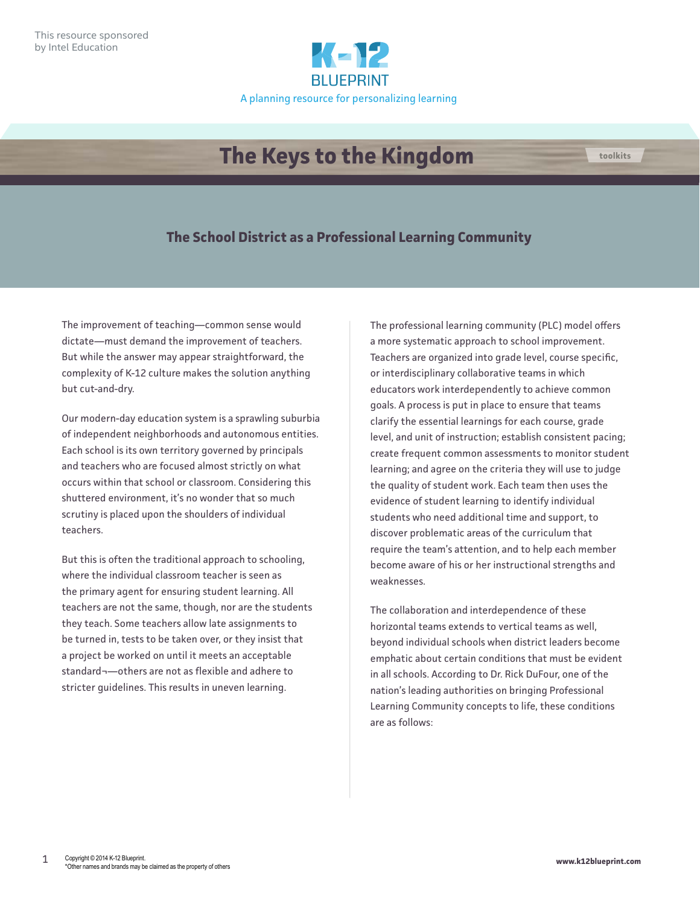

## **The Keys to the Kingdom**

## **The School District as a Professional Learning Community**

The improvement of teaching—common sense would dictate—must demand the improvement of teachers. But while the answer may appear straightforward, the complexity of K-12 culture makes the solution anything but cut-and-dry.

Our modern-day education system is a sprawling suburbia of independent neighborhoods and autonomous entities. Each school is its own territory governed by principals and teachers who are focused almost strictly on what occurs within that school or classroom. Considering this shuttered environment, it's no wonder that so much scrutiny is placed upon the shoulders of individual teachers.

But this is often the traditional approach to schooling, where the individual classroom teacher is seen as the primary agent for ensuring student learning. All teachers are not the same, though, nor are the students they teach. Some teachers allow late assignments to be turned in, tests to be taken over, or they insist that a project be worked on until it meets an acceptable standard¬—others are not as flexible and adhere to stricter guidelines. This results in uneven learning.

The professional learning community (PLC) model offers a more systematic approach to school improvement. Teachers are organized into grade level, course specific, or interdisciplinary collaborative teams in which educators work interdependently to achieve common goals. A process is put in place to ensure that teams clarify the essential learnings for each course, grade level, and unit of instruction; establish consistent pacing; create frequent common assessments to monitor student learning; and agree on the criteria they will use to judge the quality of student work. Each team then uses the evidence of student learning to identify individual students who need additional time and support, to discover problematic areas of the curriculum that require the team's attention, and to help each member become aware of his or her instructional strengths and weaknesses.

The collaboration and interdependence of these horizontal teams extends to vertical teams as well, beyond individual schools when district leaders become emphatic about certain conditions that must be evident in all schools. According to Dr. Rick DuFour, one of the nation's leading authorities on bringing Professional Learning Community concepts to life, these conditions are as follows:

**toolkits**